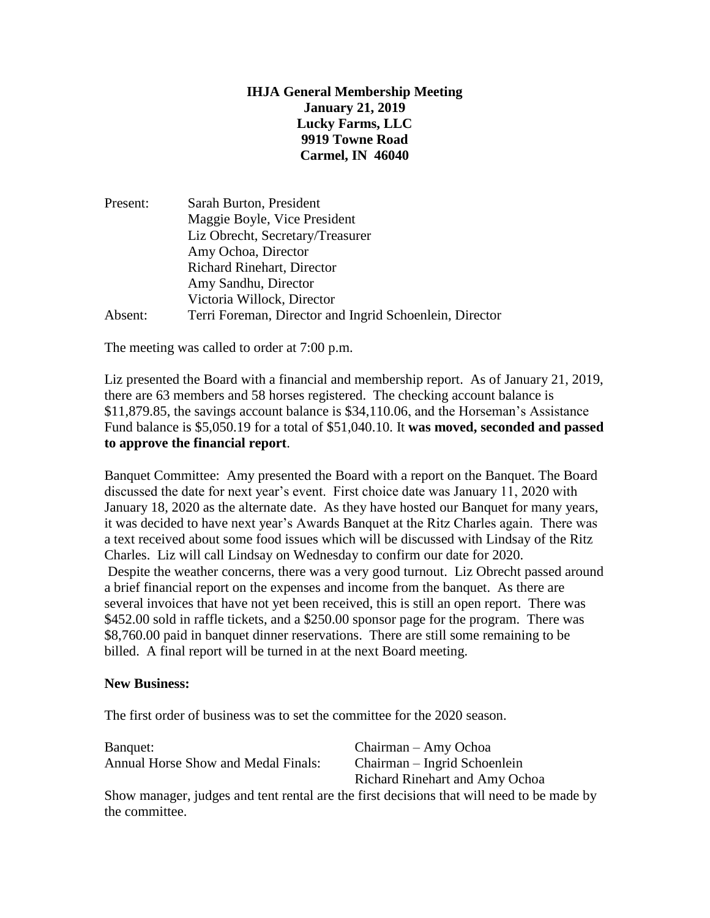## **IHJA General Membership Meeting January 21, 2019 Lucky Farms, LLC 9919 Towne Road Carmel, IN 46040**

| Present: | Sarah Burton, President                                 |
|----------|---------------------------------------------------------|
|          | Maggie Boyle, Vice President                            |
|          | Liz Obrecht, Secretary/Treasurer                        |
|          | Amy Ochoa, Director                                     |
|          | Richard Rinehart, Director                              |
|          | Amy Sandhu, Director                                    |
|          | Victoria Willock, Director                              |
| Absent:  | Terri Foreman, Director and Ingrid Schoenlein, Director |

The meeting was called to order at 7:00 p.m.

Liz presented the Board with a financial and membership report. As of January 21, 2019, there are 63 members and 58 horses registered. The checking account balance is \$11,879.85, the savings account balance is \$34,110.06, and the Horseman's Assistance Fund balance is \$5,050.19 for a total of \$51,040.10. It **was moved, seconded and passed to approve the financial report**.

Banquet Committee: Amy presented the Board with a report on the Banquet. The Board discussed the date for next year's event. First choice date was January 11, 2020 with January 18, 2020 as the alternate date. As they have hosted our Banquet for many years, it was decided to have next year's Awards Banquet at the Ritz Charles again. There was a text received about some food issues which will be discussed with Lindsay of the Ritz Charles. Liz will call Lindsay on Wednesday to confirm our date for 2020. Despite the weather concerns, there was a very good turnout. Liz Obrecht passed around a brief financial report on the expenses and income from the banquet. As there are several invoices that have not yet been received, this is still an open report. There was \$452.00 sold in raffle tickets, and a \$250.00 sponsor page for the program. There was \$8,760.00 paid in banquet dinner reservations. There are still some remaining to be billed. A final report will be turned in at the next Board meeting.

## **New Business:**

The first order of business was to set the committee for the 2020 season.

| Banquet:                                   | Chairman – Amy Ochoa           |
|--------------------------------------------|--------------------------------|
| <b>Annual Horse Show and Medal Finals:</b> | Chairman – Ingrid Schoenlein   |
|                                            | Richard Rinehart and Amy Ochoa |
|                                            |                                |

Show manager, judges and tent rental are the first decisions that will need to be made by the committee.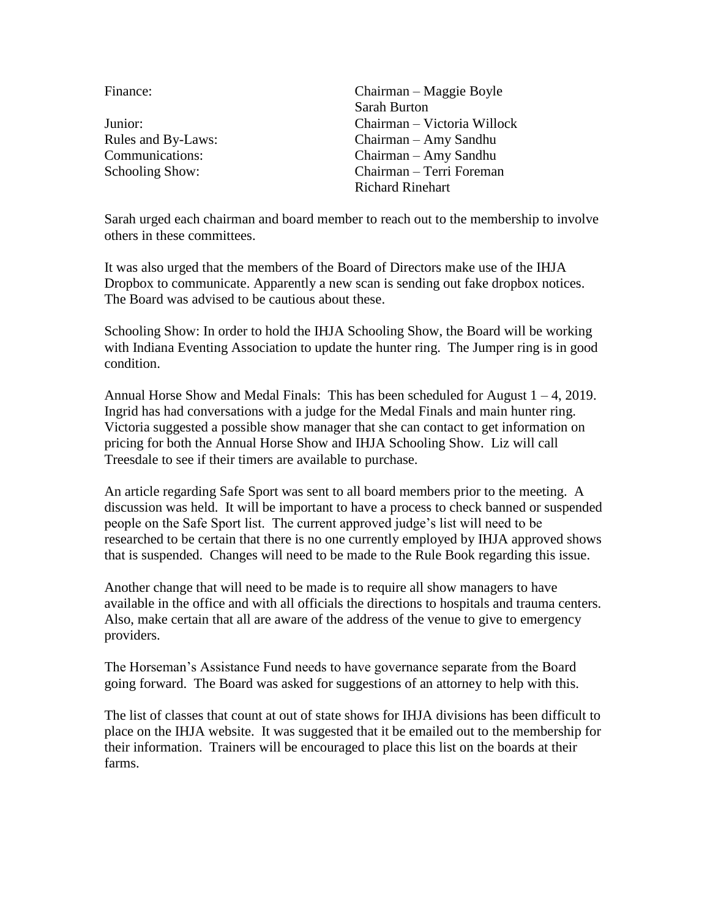| Finance:           | Chairman – Maggie Boyle     |
|--------------------|-----------------------------|
|                    | <b>Sarah Burton</b>         |
| Junior:            | Chairman - Victoria Willock |
| Rules and By-Laws: | Chairman – Amy Sandhu       |
| Communications:    | Chairman – Amy Sandhu       |
| Schooling Show:    | Chairman - Terri Foreman    |
|                    | <b>Richard Rinehart</b>     |

Sarah urged each chairman and board member to reach out to the membership to involve others in these committees.

It was also urged that the members of the Board of Directors make use of the IHJA Dropbox to communicate. Apparently a new scan is sending out fake dropbox notices. The Board was advised to be cautious about these.

Schooling Show: In order to hold the IHJA Schooling Show, the Board will be working with Indiana Eventing Association to update the hunter ring. The Jumper ring is in good condition.

Annual Horse Show and Medal Finals: This has been scheduled for August  $1 - 4$ , 2019. Ingrid has had conversations with a judge for the Medal Finals and main hunter ring. Victoria suggested a possible show manager that she can contact to get information on pricing for both the Annual Horse Show and IHJA Schooling Show. Liz will call Treesdale to see if their timers are available to purchase.

An article regarding Safe Sport was sent to all board members prior to the meeting. A discussion was held. It will be important to have a process to check banned or suspended people on the Safe Sport list. The current approved judge's list will need to be researched to be certain that there is no one currently employed by IHJA approved shows that is suspended. Changes will need to be made to the Rule Book regarding this issue.

Another change that will need to be made is to require all show managers to have available in the office and with all officials the directions to hospitals and trauma centers. Also, make certain that all are aware of the address of the venue to give to emergency providers.

The Horseman's Assistance Fund needs to have governance separate from the Board going forward. The Board was asked for suggestions of an attorney to help with this.

The list of classes that count at out of state shows for IHJA divisions has been difficult to place on the IHJA website. It was suggested that it be emailed out to the membership for their information. Trainers will be encouraged to place this list on the boards at their farms.